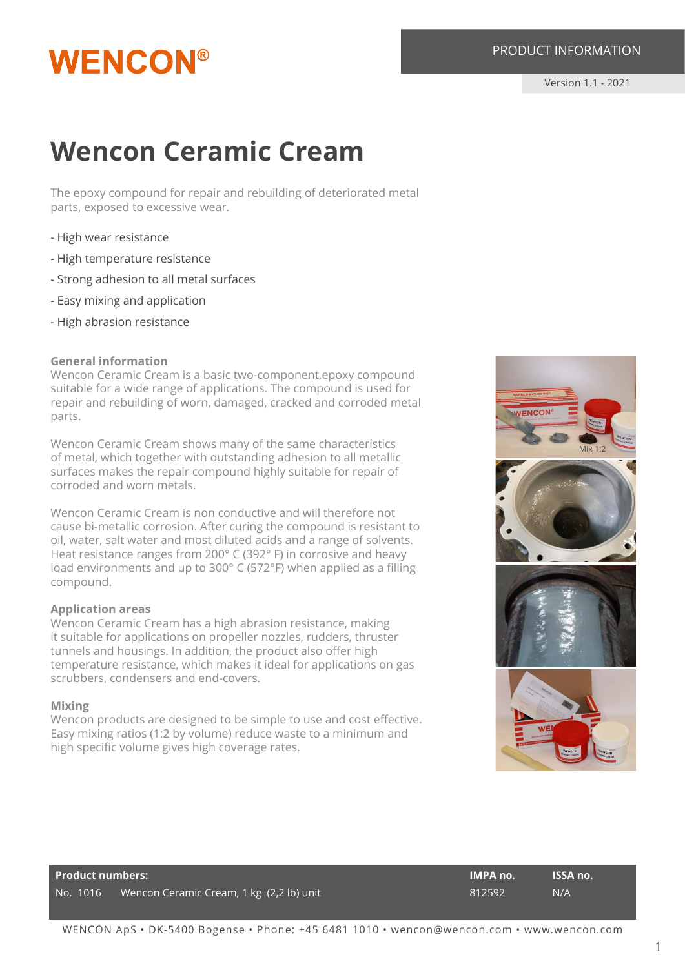## **WENCON®**

### **Wencon Ceramic Cream**

The epoxy compound for repair and rebuilding of deteriorated metal parts, exposed to excessive wear.

- High wear resistance
- High temperature resistance
- Strong adhesion to all metal surfaces
- Easy mixing and application
- High abrasion resistance

#### **General information**

Wencon Ceramic Cream is a basic two-component,epoxy compound suitable for a wide range of applications. The compound is used for repair and rebuilding of worn, damaged, cracked and corroded metal parts.

Wencon Ceramic Cream shows many of the same characteristics of metal, which together with outstanding adhesion to all metallic surfaces makes the repair compound highly suitable for repair of corroded and worn metals.

Wencon Ceramic Cream is non conductive and will therefore not cause bi-metallic corrosion. After curing the compound is resistant to oil, water, salt water and most diluted acids and a range of solvents. Heat resistance ranges from 200° C (392° F) in corrosive and heavy load environments and up to 300° C (572°F) when applied as a filling compound.

#### **Application areas**

Wencon Ceramic Cream has a high abrasion resistance, making it suitable for applications on propeller nozzles, rudders, thruster tunnels and housings. In addition, the product also offer high temperature resistance, which makes it ideal for applications on gas scrubbers, condensers and end-covers.

#### **Mixing**

Wencon products are designed to be simple to use and cost effective. Easy mixing ratios (1:2 by volume) reduce waste to a minimum and high specific volume gives high coverage rates.



| Product numbers: |                                          | <b>IMPA no.</b> | <b>ISSA no.</b> |
|------------------|------------------------------------------|-----------------|-----------------|
| No. 1016         | Wencon Ceramic Cream, 1 kg (2,2 lb) unit | 812592          | N/A             |